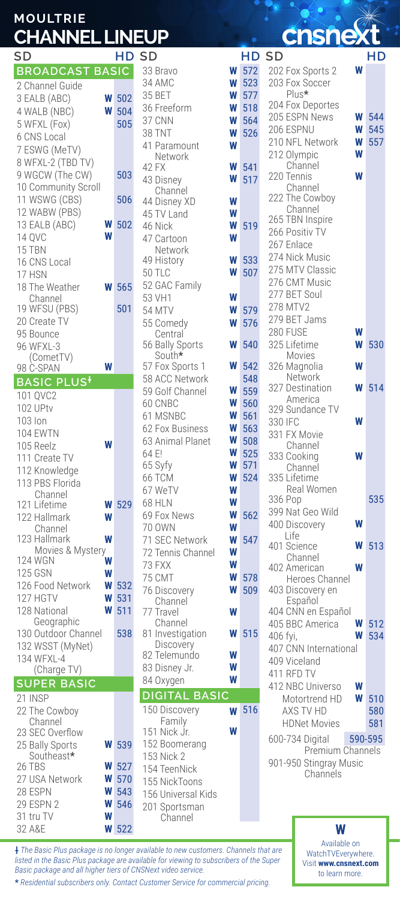## **MOULTRIE CHANNEL LINEUP**

| SD                                 |        | НD           |
|------------------------------------|--------|--------------|
| <b>BROADCAS</b><br><b>T BASIC</b>  |        |              |
| 2 Channel Guide                    |        |              |
| 3 EALB (ABC)                       | W      | 502          |
| 4 WALB (NBC)                       | W      | 504          |
| 5 WFXL (Fox)                       |        | 505          |
| 6 CNS Local                        |        |              |
| 7 ESWG (MeTV)<br>8 WFXL-2 (TBD TV) |        |              |
| 9 WGCW (The CW)                    |        | 503          |
| 10 Community Scroll                |        |              |
| 11 WSWG (CBS)                      |        | 506          |
| 12 WABW (PBS)                      |        |              |
| 13 EALB (ABC)                      |        | 502          |
| 14 QVC                             |        |              |
| 15 TBN                             |        |              |
| 16 CNS Local                       |        |              |
| 17 HSN<br>18 The Weather           |        | 565          |
| Channel                            |        |              |
| 19 WFSU (PBS)                      |        | 501          |
| 20 Create TV                       |        |              |
| 95 Bounce                          |        |              |
| 96 WFXL-3<br>(CometTV)             |        |              |
| 98 C-SPAN                          |        |              |
| <b>BASIC PLUS<sup>+</sup></b>      |        |              |
| 101 QVC2                           |        |              |
| 102 UPtv                           |        |              |
| 103 lon                            |        |              |
| 104 EWTN                           |        |              |
| 105 Reelz                          |        |              |
| 111 Create TV<br>112 Knowledge     |        |              |
| 113 PBS Florida                    |        |              |
| Channel                            |        |              |
| 121 Lifetime                       | Ν      | 529          |
| 122 Hallmark                       | W      |              |
| Channel<br>123 Hallmark            | W      |              |
| Movies & Mystery                   |        |              |
| 124 WGN                            | W      |              |
| 125 GSN                            | W      |              |
| 126 Food Network<br>127 HGTV       | W<br>W | 532<br>531   |
| 128 National                       | W      | 511          |
| Geographic                         |        |              |
| 130 Outdoor Channel                |        | 538          |
| 132 WSST (MyNet)                   |        |              |
| 134 WFXL-4<br>TV)<br>(Charge)      |        |              |
| <b>SUPER BASIC</b>                 |        |              |
| 21 INSP                            |        |              |
| 22 The Cowboy                      |        |              |
| Channel                            |        |              |
| 23 SEC Overflow                    |        |              |
| 25 Bally Sports<br>Southeast*      |        | <b>W</b> 539 |
| 26 TBS                             | W      | 527          |
| 27 USA Network                     | W      | 570          |
| 28 ESPN                            | W      | 543          |
| <b>29 ESPN 2</b><br>31 tru TV      | W      | 546          |
|                                    | W      |              |

| SD                         |        | НD  |
|----------------------------|--------|-----|
| 33 Bravo                   | W      | 572 |
| 34 AMC                     | W      | 523 |
| 35 BET                     | W      | 577 |
| 36 Freeform                | W      | 518 |
| 37 CNN                     | W      | 564 |
| 38 TNT                     | W      | 526 |
| 41 Paramount               | W      |     |
| Network<br>42 FX           | W      | 541 |
| 43 Disney                  | W      | 517 |
| Channel                    |        |     |
| 44 Disney XD               | W      |     |
| 45 TV Land                 | W      |     |
| 46 Nick                    | W      | 519 |
| 47 Cartoon                 | W      |     |
| Network<br>49 History      | W      | 533 |
| 50 TLC                     | W      | 507 |
| 52 GAC Family              |        |     |
| 53 VH1                     | W      |     |
| <b>54 MTV</b>              | W      | 579 |
| 55 Comedy                  | W      | 576 |
| Central                    |        |     |
| 56 Bally Sports<br>South*  | W      | 540 |
| 57 Fox Sports 1            | W      | 542 |
| 58 ACC Network             |        | 548 |
| 59 Golf Channel            | W      | 559 |
| 60 CNBC                    | W      | 560 |
| 61 MSNBC                   | W      | 561 |
| 62 Fox Business            | W      | 563 |
| 63 Animal Planet           | W      | 508 |
| 64 E!                      | W      | 525 |
| 65 Syfy                    | W      | 571 |
| 66 TCM<br>67 WeTV          | W<br>W | 524 |
| 68 HLN                     | W      |     |
| 69 Fox News                | W      | 562 |
| 70 OWN                     | W      |     |
| 71 SEC Network             | W      | 547 |
| 72 Tennis Channel          | W      |     |
| 73 FXX                     | W      |     |
| 75 CMT                     | W      | 578 |
| 76 Discovery               | W      | 509 |
| Channel<br>77 Travel       | W      |     |
| Channel                    |        |     |
| 81 Investigation           | W      | 515 |
| Discovery                  |        |     |
| 82 Telemundo               | W      |     |
| 83 Disney Jr.<br>84 Oxygen | W      |     |
| <b>BASIC</b><br>DIGITAL    |        |     |
| 150 Discovery              |        | 516 |
| Family                     |        |     |
| 151<br>Nick Jr.            | W      |     |
| 152 Boomerang              |        |     |
| 153 Nick 2                 |        |     |
| 154 TeenNick               |        |     |
| 155 NickToons              |        |     |
| 156 Universal Kids         |        |     |
| 201 Sportsman<br>Channel   |        |     |
|                            |        |     |

**Chicago** 

| .<br>.                         |              |                               |   |              |                        |   |         |
|--------------------------------|--------------|-------------------------------|---|--------------|------------------------|---|---------|
| SD                             |              | HD SD                         |   | HD SD        |                        |   | НD      |
| <b>BROADCAST BASIC</b>         |              | 33 Bravo                      | W | 572          | 202 Fox Sports 2       | W |         |
| 2 Channel Guide                |              | 34 AMC                        | W | 523          | 203 Fox Soccer         |   |         |
|                                |              | 35 BET                        | W | 577          | Plus*                  |   |         |
| 3 EALB (ABC)<br>w              | 502          | 36 Freeform                   | W | 518          | 204 Fox Deportes       |   |         |
| W<br>4 WALB (NBC)              | 504          | 37 CNN                        | W | 564          | 205 ESPN News          | W | 544     |
| 5 WFXL (Fox)                   | 505          | <b>38 TNT</b>                 | W | 526          | 206 ESPNU              | W | 545     |
| 6 CNS Local                    |              | 41 Paramount                  | W |              | 210 NFL Network        | W | 557     |
| 7 ESWG (MeTV)                  |              | Network                       |   |              | 212 Olympic            | W |         |
| 8 WFXL-2 (TBD TV)              |              | 42 FX                         | W | 541          | Channel                |   |         |
| 9 WGCW (The CW)                | 503          | 43 Disney                     | W | 517          | 220 Tennis             | W |         |
| 10 Community Scroll            |              | Channel                       |   |              | Channel                |   |         |
| 11 WSWG (CBS)                  | 506          | 44 Disney XD                  | W |              | 222 The Cowboy         |   |         |
| 12 WABW (PBS)                  |              | 45 TV Land                    | W |              | Channel                |   |         |
| W<br>13 EALB (ABC)             | 502          | 46 Nick                       | W | 519          | 265 TBN Inspire        |   |         |
| W<br>14 QVC                    |              | 47 Cartoon                    | W |              | 266 Positiv TV         |   |         |
| 15 TBN                         |              | Network                       |   |              | 267 Enlace             |   |         |
| 16 CNS Local                   |              | 49 History                    | W | 533          | 274 Nick Music         |   |         |
| 17 HSN                         |              | 50 TLC                        | W | 507          | 275 MTV Classic        |   |         |
| 18 The Weather<br>W            | 565          | 52 GAC Family                 |   |              | 276 CMT Music          |   |         |
| Channel                        |              | 53 VH1                        | W |              | 277 BET Soul           |   |         |
| 19 WFSU (PBS)                  | 501          | <b>54 MTV</b>                 | W | 579          | 278 MTV2               |   |         |
| 20 Create TV                   |              | 55 Comedy                     | W | 576          | 279 BET Jams           |   |         |
| 95 Bounce                      |              | Central                       |   |              | 280 FUSE               | W |         |
| 96 WFXL-3                      |              | 56 Bally Sports               | W | 540          | 325 Lifetime           | W | 530     |
| (CometTV)<br>W                 |              | South*<br>57 Fox Sports 1     | W | 542          | Movies<br>326 Magnolia | W |         |
| 98 C-SPAN                      |              | 58 ACC Network                |   | 548          | Network                |   |         |
| <b>BASIC PLUS<sup>+</sup></b>  |              | 59 Golf Channel               | W | 559          | 327 Destination        | W | 514     |
| 101 QVC2                       |              | 60 CNBC                       | W | 560          | America                |   |         |
| 102 UPtv                       |              | 61 MSNBC                      | W | 561          | 329 Sundance TV        |   |         |
| 103 lon                        |              | 62 Fox Business               | W | 563          | 330 IFC                | W |         |
| <b>104 EWTN</b>                |              | 63 Animal Planet              | W | 508          | 331 FX Movie           |   |         |
| W<br>105 Reelz                 |              | 64 E!                         | W | 525          | Channel<br>333 Cooking | W |         |
| 111 Create TV                  |              | 65 Syfy                       | W | 571          | Channel                |   |         |
| 112 Knowledge                  |              | <b>66 TCM</b>                 | W | 524          | 335 Lifetime           |   |         |
| 113 PBS Florida<br>Channel     |              | 67 WeTV                       | W |              | Real Women             |   |         |
| W<br>121 Lifetime              | 529          | <b>68 HLN</b>                 | W |              | 336 Pop                |   | 535     |
| W<br>122 Hallmark              |              | 69 Fox News                   | W | 562          | 399 Nat Geo Wild       |   |         |
| Channel                        |              | 70 OWN                        | W |              | 400 Discovery          | W |         |
| 123 Hallmark<br>W              |              | 71 SEC Network                | W | 547          | Life                   |   |         |
| Movies & Mystery               |              | 72 Tennis Channel             | W |              | 401 Science<br>Channel | W | 513     |
| 124 WGN<br>W                   |              | 73 FXX                        | W |              | 402 American           | W |         |
| <b>125 GSN</b><br>W            |              | <b>75 CMT</b>                 | W | 578          | Heroes Channel         |   |         |
| 126 Food Network<br>W          | 532          | 76 Discovery                  | W | 509          | 403 Discovery en       |   |         |
| 127 HGTV<br>W                  | 531          | Channel                       |   |              | Español                |   |         |
| 128 National<br>W              | 511          | 77 Travel                     | W |              | 404 CNN en Español     |   |         |
| Geographic                     | 538          | Channel                       | W | 515          | 405 BBC America        | W | 512     |
| 130 Outdoor Channel            |              | 81 Investigation<br>Discovery |   |              | 406 fyi,               | W | 534     |
| 132 WSST (MyNet)<br>134 WFXL-4 |              | 82 Telemundo                  | W |              | 407 CNN International  |   |         |
| (Charge TV)                    |              | 83 Disney Jr.                 | W |              | 409 Viceland           |   |         |
| <b>SUPER BASIC</b>             |              | 84 Oxygen                     | W |              | 411 RFD TV             |   |         |
|                                |              | <b>DIGITAL BASIC</b>          |   |              | 412 NBC Universo       | W |         |
| 21 INSP                        |              |                               |   |              | Motortrend HD          | W | 510     |
| 22 The Cowboy                  |              | 150 Discovery                 |   | <b>w</b> 516 | AXS TV HD              |   | 580     |
| Channel<br>23 SEC Overflow     |              | Family<br>151 Nick Jr.        | W |              | <b>HDNet Movies</b>    |   | 581     |
| 25 Bally Sports                | <b>W</b> 539 | 152 Boomerang                 |   |              | 600-734 Digital        |   | 590-595 |
| Southeast*                     |              | 153 Nick 2                    |   |              | Premium Channels       |   |         |
| W<br>26 TBS                    | 527          | 154 TeenNick                  |   |              | 901-950 Stingray Music |   |         |
| 07 HOA Notwork                 | F70          |                               |   |              | Channels               |   |         |

**†** *The Basic Plus package is no longer available to new customers. Channels that are listed in the Basic Plus package are available for viewing to subscribers of the Super Basic package and all higher tiers of CNSNext video service.*

**\*** *Residential subscribers only. Contact Customer Service for commercial pricing.*

**W**

32 A&E

**W**

Available on WatchTVEverywhere. Visit **www.cnsnext.com** to learn more.